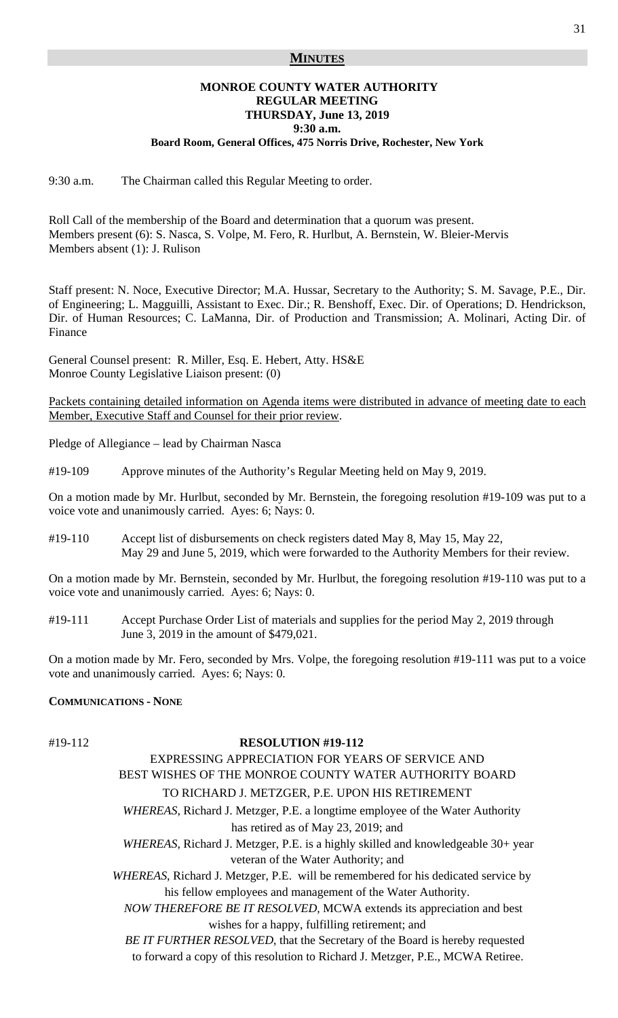### **MINUTES**

# **MONROE COUNTY WATER AUTHORITY REGULAR MEETING THURSDAY, June 13, 2019 9:30 a.m.**

**Board Room, General Offices, 475 Norris Drive, Rochester, New York** 

9:30 a.m. The Chairman called this Regular Meeting to order.

Roll Call of the membership of the Board and determination that a quorum was present. Members present (6): S. Nasca, S. Volpe, M. Fero, R. Hurlbut, A. Bernstein, W. Bleier-Mervis Members absent (1): J. Rulison

Staff present: N. Noce, Executive Director; M.A. Hussar, Secretary to the Authority; S. M. Savage, P.E., Dir. of Engineering; L. Magguilli, Assistant to Exec. Dir.; R. Benshoff, Exec. Dir. of Operations; D. Hendrickson, Dir. of Human Resources; C. LaManna, Dir. of Production and Transmission; A. Molinari, Acting Dir. of Finance

General Counsel present: R. Miller, Esq. E. Hebert, Atty. HS&E Monroe County Legislative Liaison present: (0)

Packets containing detailed information on Agenda items were distributed in advance of meeting date to each Member, Executive Staff and Counsel for their prior review.

Pledge of Allegiance – lead by Chairman Nasca

#19-109 Approve minutes of the Authority's Regular Meeting held on May 9, 2019.

On a motion made by Mr. Hurlbut, seconded by Mr. Bernstein, the foregoing resolution #19-109 was put to a voice vote and unanimously carried. Ayes: 6; Nays: 0.

#19-110 Accept list of disbursements on check registers dated May 8, May 15, May 22, May 29 and June 5, 2019, which were forwarded to the Authority Members for their review.

On a motion made by Mr. Bernstein, seconded by Mr. Hurlbut, the foregoing resolution #19-110 was put to a voice vote and unanimously carried. Ayes: 6; Nays: 0.

#19-111 Accept Purchase Order List of materials and supplies for the period May 2, 2019 through June 3, 2019 in the amount of \$479,021.

On a motion made by Mr. Fero, seconded by Mrs. Volpe, the foregoing resolution #19-111 was put to a voice vote and unanimously carried. Ayes: 6; Nays: 0.

### **COMMUNICATIONS - NONE**

#### #19-112 **RESOLUTION #19-112**

# EXPRESSING APPRECIATION FOR YEARS OF SERVICE AND BEST WISHES OF THE MONROE COUNTY WATER AUTHORITY BOARD TO RICHARD J. METZGER, P.E. UPON HIS RETIREMENT

 *WHEREAS*, Richard J. Metzger, P.E. a longtime employee of the Water Authority has retired as of May 23, 2019; and

 *WHEREAS*, Richard J. Metzger, P.E. is a highly skilled and knowledgeable 30+ year veteran of the Water Authority; and

 *WHEREAS*, Richard J. Metzger, P.E. will be remembered for his dedicated service by his fellow employees and management of the Water Authority.

 *NOW THEREFORE BE IT RESOLVED,* MCWA extends its appreciation and best wishes for a happy, fulfilling retirement; and

 *BE IT FURTHER RESOLVED*, that the Secretary of the Board is hereby requested to forward a copy of this resolution to Richard J. Metzger, P.E., MCWA Retiree.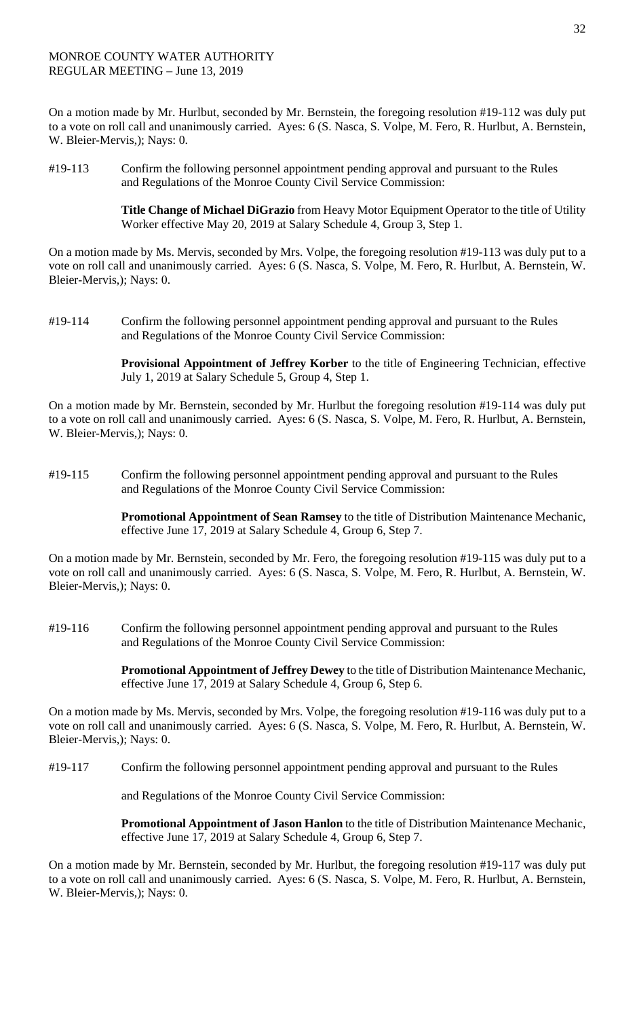## MONROE COUNTY WATER AUTHORITY REGULAR MEETING – June 13, 2019

On a motion made by Mr. Hurlbut, seconded by Mr. Bernstein, the foregoing resolution #19-112 was duly put to a vote on roll call and unanimously carried. Ayes: 6 (S. Nasca, S. Volpe, M. Fero, R. Hurlbut, A. Bernstein, W. Bleier-Mervis,); Nays: 0.

#19-113 Confirm the following personnel appointment pending approval and pursuant to the Rules and Regulations of the Monroe County Civil Service Commission:

> **Title Change of Michael DiGrazio** from Heavy Motor Equipment Operator to the title of Utility Worker effective May 20, 2019 at Salary Schedule 4, Group 3, Step 1.

On a motion made by Ms. Mervis, seconded by Mrs. Volpe, the foregoing resolution #19-113 was duly put to a vote on roll call and unanimously carried. Ayes: 6 (S. Nasca, S. Volpe, M. Fero, R. Hurlbut, A. Bernstein, W. Bleier-Mervis,); Nays: 0.

#19-114 Confirm the following personnel appointment pending approval and pursuant to the Rules and Regulations of the Monroe County Civil Service Commission:

> **Provisional Appointment of Jeffrey Korber** to the title of Engineering Technician, effective July 1, 2019 at Salary Schedule 5, Group 4, Step 1.

On a motion made by Mr. Bernstein, seconded by Mr. Hurlbut the foregoing resolution #19-114 was duly put to a vote on roll call and unanimously carried. Ayes: 6 (S. Nasca, S. Volpe, M. Fero, R. Hurlbut, A. Bernstein, W. Bleier-Mervis,); Nays: 0.

#19-115 Confirm the following personnel appointment pending approval and pursuant to the Rules and Regulations of the Monroe County Civil Service Commission:

> **Promotional Appointment of Sean Ramsey** to the title of Distribution Maintenance Mechanic, effective June 17, 2019 at Salary Schedule 4, Group 6, Step 7.

On a motion made by Mr. Bernstein, seconded by Mr. Fero, the foregoing resolution #19-115 was duly put to a vote on roll call and unanimously carried. Ayes: 6 (S. Nasca, S. Volpe, M. Fero, R. Hurlbut, A. Bernstein, W. Bleier-Mervis,); Nays: 0.

#19-116 Confirm the following personnel appointment pending approval and pursuant to the Rules and Regulations of the Monroe County Civil Service Commission:

> **Promotional Appointment of Jeffrey Dewey** to the title of Distribution Maintenance Mechanic, effective June 17, 2019 at Salary Schedule 4, Group 6, Step 6.

On a motion made by Ms. Mervis, seconded by Mrs. Volpe, the foregoing resolution #19-116 was duly put to a vote on roll call and unanimously carried. Ayes: 6 (S. Nasca, S. Volpe, M. Fero, R. Hurlbut, A. Bernstein, W. Bleier-Mervis,); Nays: 0.

#19-117 Confirm the following personnel appointment pending approval and pursuant to the Rules

and Regulations of the Monroe County Civil Service Commission:

**Promotional Appointment of Jason Hanlon** to the title of Distribution Maintenance Mechanic, effective June 17, 2019 at Salary Schedule 4, Group 6, Step 7.

On a motion made by Mr. Bernstein, seconded by Mr. Hurlbut, the foregoing resolution #19-117 was duly put to a vote on roll call and unanimously carried. Ayes: 6 (S. Nasca, S. Volpe, M. Fero, R. Hurlbut, A. Bernstein, W. Bleier-Mervis,); Nays: 0.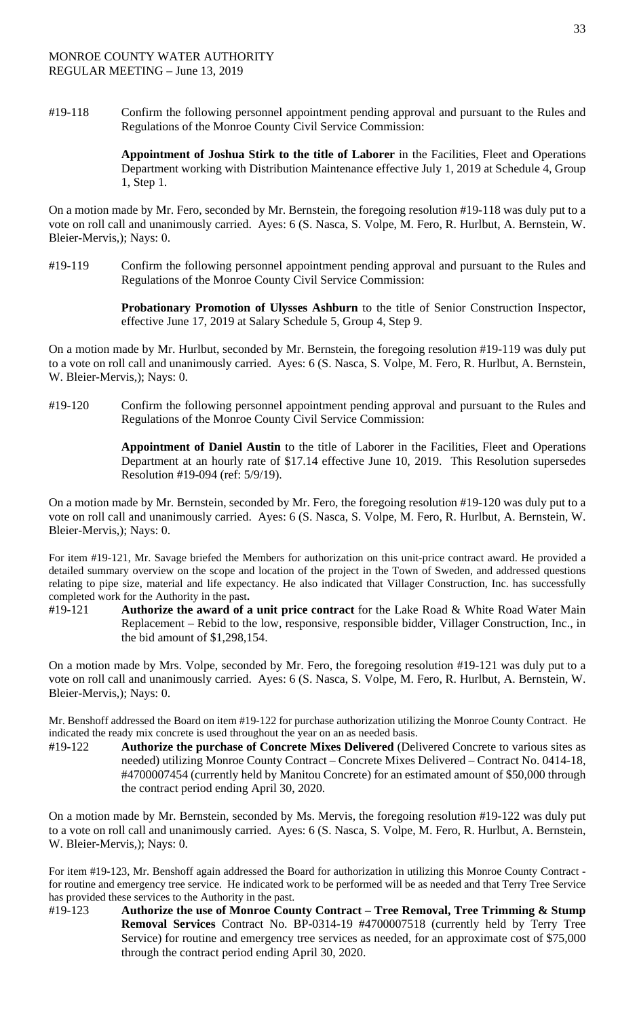#19-118 Confirm the following personnel appointment pending approval and pursuant to the Rules and Regulations of the Monroe County Civil Service Commission:

> **Appointment of Joshua Stirk to the title of Laborer** in the Facilities, Fleet and Operations Department working with Distribution Maintenance effective July 1, 2019 at Schedule 4, Group 1, Step 1.

On a motion made by Mr. Fero, seconded by Mr. Bernstein, the foregoing resolution #19-118 was duly put to a vote on roll call and unanimously carried. Ayes: 6 (S. Nasca, S. Volpe, M. Fero, R. Hurlbut, A. Bernstein, W. Bleier-Mervis,); Nays: 0.

#19-119 Confirm the following personnel appointment pending approval and pursuant to the Rules and Regulations of the Monroe County Civil Service Commission:

> **Probationary Promotion of Ulysses Ashburn** to the title of Senior Construction Inspector, effective June 17, 2019 at Salary Schedule 5, Group 4, Step 9.

On a motion made by Mr. Hurlbut, seconded by Mr. Bernstein, the foregoing resolution #19-119 was duly put to a vote on roll call and unanimously carried. Ayes: 6 (S. Nasca, S. Volpe, M. Fero, R. Hurlbut, A. Bernstein, W. Bleier-Mervis,); Nays: 0.

#19-120 Confirm the following personnel appointment pending approval and pursuant to the Rules and Regulations of the Monroe County Civil Service Commission:

> **Appointment of Daniel Austin** to the title of Laborer in the Facilities, Fleet and Operations Department at an hourly rate of \$17.14 effective June 10, 2019. This Resolution supersedes Resolution #19-094 (ref: 5/9/19).

On a motion made by Mr. Bernstein, seconded by Mr. Fero, the foregoing resolution #19-120 was duly put to a vote on roll call and unanimously carried. Ayes: 6 (S. Nasca, S. Volpe, M. Fero, R. Hurlbut, A. Bernstein, W. Bleier-Mervis,); Nays: 0.

For item #19-121, Mr. Savage briefed the Members for authorization on this unit-price contract award. He provided a detailed summary overview on the scope and location of the project in the Town of Sweden, and addressed questions relating to pipe size, material and life expectancy. He also indicated that Villager Construction, Inc. has successfully completed work for the Authority in the past**.** 

#19-121 **Authorize the award of a unit price contract** for the Lake Road & White Road Water Main Replacement – Rebid to the low, responsive, responsible bidder, Villager Construction, Inc., in the bid amount of \$1,298,154.

On a motion made by Mrs. Volpe, seconded by Mr. Fero, the foregoing resolution #19-121 was duly put to a vote on roll call and unanimously carried. Ayes: 6 (S. Nasca, S. Volpe, M. Fero, R. Hurlbut, A. Bernstein, W. Bleier-Mervis,); Nays: 0.

Mr. Benshoff addressed the Board on item #19-122 for purchase authorization utilizing the Monroe County Contract. He indicated the ready mix concrete is used throughout the year on an as needed basis.

#19-122 **Authorize the purchase of Concrete Mixes Delivered** (Delivered Concrete to various sites as needed) utilizing Monroe County Contract – Concrete Mixes Delivered – Contract No. 0414-18, #4700007454 (currently held by Manitou Concrete) for an estimated amount of \$50,000 through the contract period ending April 30, 2020.

On a motion made by Mr. Bernstein, seconded by Ms. Mervis, the foregoing resolution #19-122 was duly put to a vote on roll call and unanimously carried. Ayes: 6 (S. Nasca, S. Volpe, M. Fero, R. Hurlbut, A. Bernstein, W. Bleier-Mervis,); Nays: 0.

For item #19-123, Mr. Benshoff again addressed the Board for authorization in utilizing this Monroe County Contract for routine and emergency tree service. He indicated work to be performed will be as needed and that Terry Tree Service has provided these services to the Authority in the past.

#19-123 **Authorize the use of Monroe County Contract – Tree Removal, Tree Trimming & Stump Removal Services** Contract No. BP-0314-19 #4700007518 (currently held by Terry Tree Service) for routine and emergency tree services as needed, for an approximate cost of \$75,000 through the contract period ending April 30, 2020.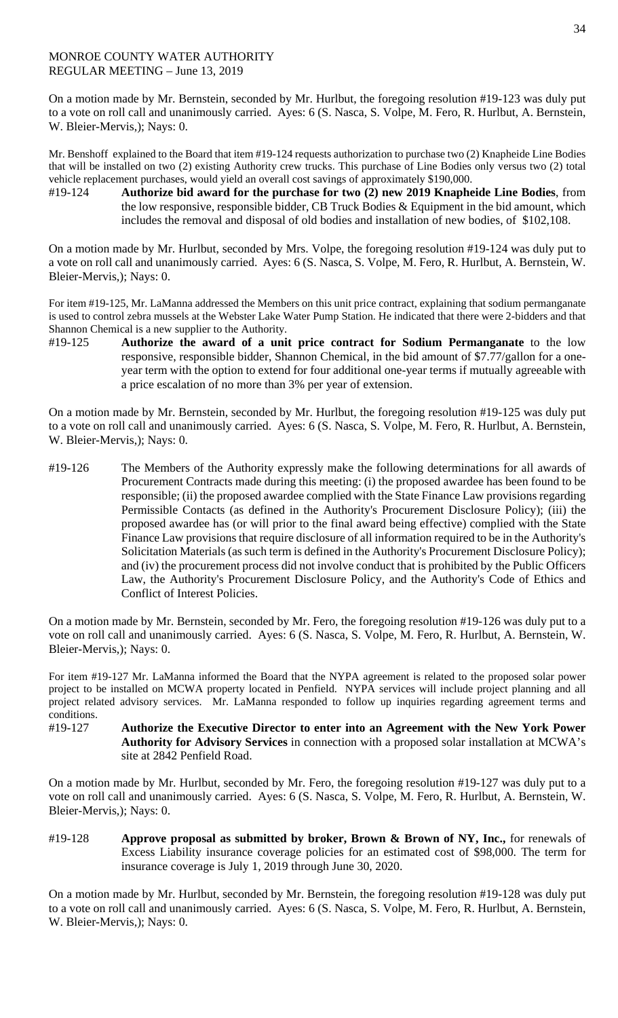## MONROE COUNTY WATER AUTHORITY REGULAR MEETING – June 13, 2019

On a motion made by Mr. Bernstein, seconded by Mr. Hurlbut, the foregoing resolution #19-123 was duly put to a vote on roll call and unanimously carried. Ayes: 6 (S. Nasca, S. Volpe, M. Fero, R. Hurlbut, A. Bernstein, W. Bleier-Mervis,); Nays: 0.

Mr. Benshoff explained to the Board that item #19-124 requests authorization to purchase two (2) Knapheide Line Bodies that will be installed on two (2) existing Authority crew trucks. This purchase of Line Bodies only versus two (2) total vehicle replacement purchases, would yield an overall cost savings of approximately \$190,000.

#19-124 **Authorize bid award for the purchase for two (2) new 2019 Knapheide Line Bodies**, from the low responsive, responsible bidder, CB Truck Bodies & Equipment in the bid amount, which includes the removal and disposal of old bodies and installation of new bodies, of \$102,108.

On a motion made by Mr. Hurlbut, seconded by Mrs. Volpe, the foregoing resolution #19-124 was duly put to a vote on roll call and unanimously carried. Ayes: 6 (S. Nasca, S. Volpe, M. Fero, R. Hurlbut, A. Bernstein, W. Bleier-Mervis,); Nays: 0.

For item #19-125, Mr. LaManna addressed the Members on this unit price contract, explaining that sodium permanganate is used to control zebra mussels at the Webster Lake Water Pump Station. He indicated that there were 2-bidders and that Shannon Chemical is a new supplier to the Authority.

#19-125 **Authorize the award of a unit price contract for Sodium Permanganate** to the low responsive, responsible bidder, Shannon Chemical, in the bid amount of \$7.77/gallon for a oneyear term with the option to extend for four additional one-year terms if mutually agreeable with a price escalation of no more than 3% per year of extension.

On a motion made by Mr. Bernstein, seconded by Mr. Hurlbut, the foregoing resolution #19-125 was duly put to a vote on roll call and unanimously carried. Ayes: 6 (S. Nasca, S. Volpe, M. Fero, R. Hurlbut, A. Bernstein, W. Bleier-Mervis,); Nays: 0.

#19-126 The Members of the Authority expressly make the following determinations for all awards of Procurement Contracts made during this meeting: (i) the proposed awardee has been found to be responsible; (ii) the proposed awardee complied with the State Finance Law provisions regarding Permissible Contacts (as defined in the Authority's Procurement Disclosure Policy); (iii) the proposed awardee has (or will prior to the final award being effective) complied with the State Finance Law provisions that require disclosure of all information required to be in the Authority's Solicitation Materials (as such term is defined in the Authority's Procurement Disclosure Policy); and (iv) the procurement process did not involve conduct that is prohibited by the Public Officers Law, the Authority's Procurement Disclosure Policy, and the Authority's Code of Ethics and Conflict of Interest Policies.

On a motion made by Mr. Bernstein, seconded by Mr. Fero, the foregoing resolution #19-126 was duly put to a vote on roll call and unanimously carried. Ayes: 6 (S. Nasca, S. Volpe, M. Fero, R. Hurlbut, A. Bernstein, W. Bleier-Mervis,); Nays: 0.

For item #19-127 Mr. LaManna informed the Board that the NYPA agreement is related to the proposed solar power project to be installed on MCWA property located in Penfield. NYPA services will include project planning and all project related advisory services. Mr. LaManna responded to follow up inquiries regarding agreement terms and conditions.

#19-127 **Authorize the Executive Director to enter into an Agreement with the New York Power Authority for Advisory Services** in connection with a proposed solar installation at MCWA's site at 2842 Penfield Road.

On a motion made by Mr. Hurlbut, seconded by Mr. Fero, the foregoing resolution #19-127 was duly put to a vote on roll call and unanimously carried. Ayes: 6 (S. Nasca, S. Volpe, M. Fero, R. Hurlbut, A. Bernstein, W. Bleier-Mervis,); Nays: 0.

#19-128 **Approve proposal as submitted by broker, Brown & Brown of NY, Inc.,** for renewals of Excess Liability insurance coverage policies for an estimated cost of \$98,000. The term for insurance coverage is July 1, 2019 through June 30, 2020.

On a motion made by Mr. Hurlbut, seconded by Mr. Bernstein, the foregoing resolution #19-128 was duly put to a vote on roll call and unanimously carried. Ayes: 6 (S. Nasca, S. Volpe, M. Fero, R. Hurlbut, A. Bernstein, W. Bleier-Mervis,); Nays: 0.